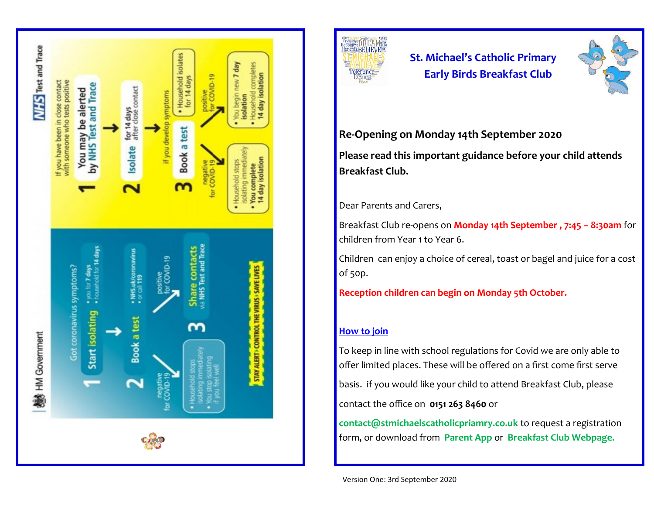



# **St. Michael's Catholic Primary Early Birds Breakfast Club**



### **Re-Opening on Monday 14th September 2020**

**Please read this important guidance before your child attends Breakfast Club.** 

### Dear Parents and Carers,

Breakfast Club re-opens on **Monday 14th September , 7:45 – 8:30am** for children from Year 1 to Year 6.

Children can enjoy a choice of cereal, toast or bagel and juice for a cost of 50p.

**Reception children can begin on Monday 5th October.**

#### **How to join**

To keep in line with school regulations for Covid we are only able to offer limited places. These will be offered on a first come first serve basis. if you would like your child to attend Breakfast Club, please contact the office on **0151 263 8460** or

**contact@stmichaelscatholicpriamry.co.uk** to request a registration form, or download from **Parent App** or **Breakfast Club Webpage.**